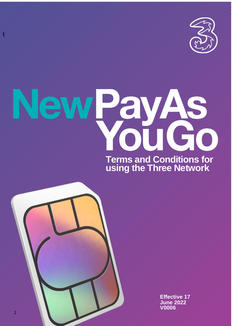

# ew PayAs<br>You Go **Terms and Conditions for**

**using the Three Network**



t

**Effective 17 June 2022 V0006**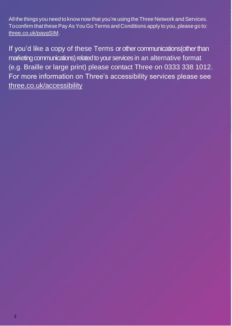All the things you need to know now that you're using the Three Network and Services. Toconfirm that these PayAs YouGo Terms and Conditions apply to you, please go to: three.co.uk/paygSIM.

If you'd like a copy of these Terms or other communications(other than marketing communications) related to your services in an alternative format (e.g. Braille or large print) please contact Three on 0333 338 1012. For more information on Three's accessibility services please see three.co.uk/accessibility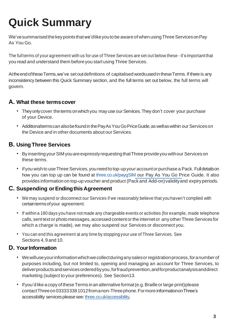# **Quick Summary**

We've summarised the key points that we'dlike you to be aware of when using Three Services on Pay As You Go.

The full terms of your agreement with us for use of Three Services are set out below these - it's important that you read and understand them beforeyou start using Three Services.

At the end of these Terms, we've set out definitions of capitalised words used in these Terms. If there is any inconsistency between this Quick Summary section, and the full terms set out below, the full terms will govern.

### **A. What these termscover**

- They only cover the terms on which you may use our Services. They don't cover your purchase of your Device.
- Additionalterms can also befound in the PayAs You Go Price Guide, as well as within our Services on the Device and in other documents about our Services.

### **B. Using Three Services**

- By insertingyourSIMyouareexpresslyrequestingthatThreeprovideyou withour Services on these terms.
- If you wish to useThree Services,youneed to top-upyour accountorpurchase a Pack. Fulldetailson how you can top up can be found at three.co.uk/paygSIM our Pay As You Go Price Guide. It also provides information on top-up voucher and product (Pack and Add-on) validity and expiry periods.

### **C. Suspending orEndingthis Agreement**

- We may suspend or disconnect our Services if we reasonably believe that you haven't complied with certain terms of your agreement.
- If withina 180 days you have not made any chargeable events or activities (for example, made telephone calls, sent text or photo messages, accessed content or the internet or any other Three Services for which a charge is made), we may also suspend our Services or disconnect you.
- You can end this agreement at any time by stoppingyour use of Three Services. See Sections 4,9 and 10.

### **D. YourInformation**

- Wewilluseyourinformationwhichwecollectduringanysalesorregistrationprocess,foranumberof purposes including, but not limited to, opening and managing an account for Three Services, to deliverproductsandservicesorderedbyyou,forfraudprevention,andforproductanalysisanddirect marketing (subject to your preferences). See Section13.
- If you'd like a copy of these Terms in an alternative format (e.g. Braille or large print) please contactThreeon033333381012fromanon-Threephone.Formore informationonThree's accessibility services please see: three.co.uk/accessibility.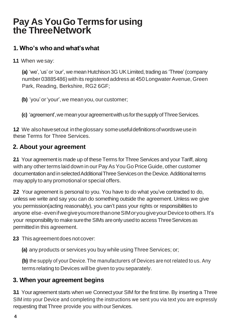# **Pay As YouGo Termsfor using the ThreeNetwork**

# **1. Who's who and what'swhat**

**1.1** When wesay:

**(a)** 'we', 'us' or 'our', we mean Hutchison 3G UK Limited, trading as 'Three' (company number 03885486) with its registered address at 450 LongwaterAvenue, Green Park, Reading, Berkshire, RG2 6GF;

**(b)** 'you'or'your',we meanyou, our customer;

**(c)** 'agreement', we mean your agreement with us for the supply of Three Services.

**1.2** We also have set out in the glossary some useful definitions of words we use in these Terms for Three Services.

### **2. About your agreement**

**2.1** Your agreement is made up of these Terms for Three Services and your Tariff, along with any other terms laid down in our Pay As You Go Price Guide, other customer documentationand inselectedAdditionalThreeServiceson the Device.Additionalterms may apply to any promotional or special offers.

**2.2** Your agreement is personal to you. You have to do what you've contracted to do, unless we write and say you can do something outside the agreement. Unless we give you permission(acting reasonably), you can't pass your rights or responsibilities to anyone else-evenifwegiveyoumorethanoneSIMoryougiveyourDevicetoothers.It's your responsibility to make sure the SIMs are only used to access Three Services as permittedin this agreement.

### **2.3** This agreement does not cover:

**(a)** any products or services you buy while usingThree Services; or;

**(b)** the supply of your Device.The manufacturers of Devices are not related to us. Any terms relating to Devices will be given to you separately.

### **3. When your agreement begins**

**3.1** Youragreement starts when we Connectyour SIM for the first time. By inserting a Three SIM into your Device and completing the instructions we sent you via text you are expressly requesting that Three provide you with our Services.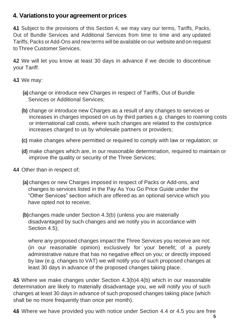### **4. Variationsto your agreement orprices**

**4.1** Subject to the provisions of this Section 4, we may vary our terms, Tariffs, Packs, Out of Bundle Services and Additional Services from time to time and any updated Tariffs, Packs or Add-Ons and new terms will be available on our website and on request toThree Customer Services.

**4.2** We will let you know at least 30 days in advance if we decide to discontinue your Tariff.

**4.3** We may:

- **(a)** change or introduce new Charges in respect of Tariffs, Out of Bundle Services or Additional Services;
- <span id="page-4-0"></span>**(b)** change or introduce new Charges as a result of any changes to services or increases in charges imposed on us by third parties e.g. changes to roaming costs or international call costs, where such changes are related to the costs/price increases charged to us by wholesale partners or providers;
- **(c)** make changes where permitted or required to comply with law or regulation; or
- **(d)** make changes which are, in our reasonable determination, required to maintain or improve the quality or security of the Three Services;
- <span id="page-4-3"></span><span id="page-4-2"></span>**4.4** Other than in respect of;
	- **(a)** changes or new Charges imposed in respect of Packs or Add-ons, and changes to services listed in the Pay As You Go Price Guide under the "Other Services" section which are offered as an optional service which you have opted not to receive;
	- **(b)**changes made under Sectio[n 4.3\(b\)](#page-4-0) (unless you are materially disadvantaged by such changes and we notify you in accordance with Section 4.5):

where any proposed changes impact the Three Services you receive are not: (in our reasonable opinion) exclusively for your benefit; of a purely administrative nature that has no negative effect on you; or directly imposed by law (e.g. changes to VAT) we will notify you of such proposed changes at least 30 days in advance of the proposed changes taking place.

**4.5** Where we make changes under Section [4.3\(b\)](#page-4-0)[4.4\(b\)](#page-4-2) which in our reasonable determination are likely to materially disadvantage you, we will notify you of such changes at least 30 days in advance of such proposed changes taking place (which shall be no more frequently than once per month).

<span id="page-4-1"></span>**4.6** Where we have provided you with notice under Section [4.4](#page-4-3) or [4.5](#page-4-1) you are free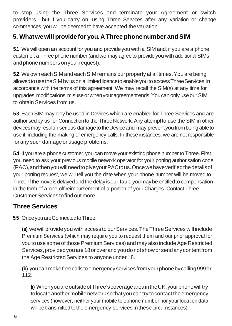to stop using the Three Services and terminate your Agreement or switch providers, but if you carry on using Three Services after any variation or change commences, you willbe deemedto have accepted the variation.

### **5. Whatwewill providefor you.A Three phonenumber andSIM**

**5.1** Wewill open an account for you and provideyou with a SIM and, if you are a phone customer,a Three phone number (andwe may agreeto provideyou with additionalSIMs and phone numbers on your request).

**5.2** We own each SIM and each SIM remains our property at all times. You are being allowed to use the SIM by us on a limited licence to enable you to access Three Services, in accordance with the terms of this agreement. We may recall the SIM(s) at any time for upgrades, modifications, misuse or when your agreement ends. You can only use our SIM to obtain Services from us.

**5.3** Each SIM may only be used in Devices which are enabled for Three Services and are authorised by us for Connection to the Three Network. Any attempt to use the SIM in other devicesmayresultin serious damageto theDeviceand may preventyou frombeing ableto use it, including the making of emergency calls. In these instances, we are not responsible forany suchdamageor usage problems.

**5.4** If you are a phone customer, you can move your existing phone number to Three. First, you need to ask your previous mobile network operator for your porting authorisation code (PAC),andthenyouwillneedtogiveyourPACtous.Oncewehaveverifiedthedetailsof your porting request, we will tell you the date when your phone number will be moved to Three.Ifthemoveisdelayedandthedelay isour fault, youmaybe entitledto compensation in the form of a one-off reimbursement of a portion of your Charges. Contact Three CustomerServices tofind out more.

### **Three Services**

**5.5** Once you are Connected to Three:

(a) we will provide you with access to our Services. The Three Services will include Premium Services (which may require you to request them and our prior approval for you to use some of those Premium Services) and may also include Age Restricted Services,providedyou are18oroverandyoudonotshowor sendanycontentfrom the Age Restricted Services to anyone under 18.

**(b)** youcanmakefreecallstoemergencyservicesfromyourphonebycalling999or 112.

**(i)** WhenyouareoutsideofThree'scoverageareaintheUK,yourphonewilltry to locate another mobile network so that you can try to contact the emergency services (however, neither your mobile telephone number nor your location data will be transmitted to the emergency services in these circumstances).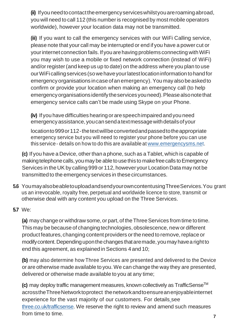(ii) If you need to contact the emergency services whilstyou are roaming abroad, you will need to call 112 (this number is recognised by most mobile operators worldwide), however your location data may not be transmitted.

**(iii)** If you want to call the emergency services with our WiFi Calling service, please note that your call may be interrupted or end if you have a power cut or yourinternetconnection fails.If youarehaving problems connecting withWiFi you may wish to use a mobile or fixed network connection (instead of WiFi) and/or register(and keep us up to date) on the address where you plan to use ourWiFi callingservices (sowehaveyourlatestlocationinformation tohandfor emergencyorganisations incaseofan emergency).You may alsobeaskedto confirm or provide your location when making an emergency call (to help emergencyorganisations identifytheservicesyouneed).Pleasealsonotethat emergency service calls can't be made using Skype on your Phone.

**(iv)** Ifyou have difficulties hearingorarespeechimpairedandyou need emergencyassistance,youcansendatextmessagewithdetailsofyour

locationto999or112-thetextwillbeconvertedandpassedtotheappropriate emergency service but you will need to register your phone before you can use this service - details on how to do this are available at [www.emergencysms.net.](http://www.emergencysms.net/)

**(c)** If you have a Device, other than a phone, such as aTablet,which is capable of making telephone calls, you may be able to use this to make free calls to Emergency Services in the UKby calling 999 or 112, however your LocationData may not be transmitted to the emergency services in thesecircumstances.

**5.6** YoumayalsobeabletouploadandsendyourowncontentusingThreeServices.You grant us an irrevocable, royalty free, perpetual and worldwide licence to store, transmit or otherwise deal with any content you upload on the Three Services.

### **5.7** We:

**(a)** may change or withdraw some, or part, of the Three Services from time to time. This may be because of changing technologies, obsolescence, new or different product features, changing content providers or the need to remove, replace or modifycontent.Dependinguponthechanges thataremade,youmayhavea rightto end this agreement, as explainedin Sections 4 and 10;

**(b)** may also determine how Three Services are presented and delivered to the Device or are otherwise made available to you.We can change the way they are presented, delivered or otherwise made available to you at any time;

**(c)** may deploy traffic management measures, known collectively as TrafficSenseTM acrosstheThreeNetworktoprotect thenetworkandtoensureanenjoyableinternet experience for the vast majority of our customers. For details see three.co.uk/trafficsense. We reserve the right to review and amend such measures from time to time.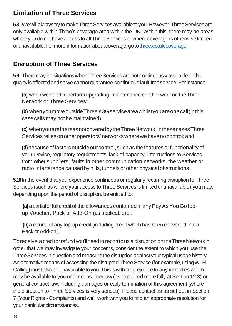# **Limitation of Three Services**

**5.8** We will always try to make Three Services available to you. However, Three Services are only available within Three's coverage area within the UK. Within this, there may be areas where you do not have access to all Three Services or where coverage is otherwise limited or unavailable. For more information about coverage, go to three.co.uk/coverage

# **Disruption of Three Services**

**5.9** Theremay be situationswhenThreeServices arenot continuously availableor the qualityis affectedandsowe cannotguarantee continuousfault-freeservice.Forinstance:

**(a)** when we need to perform upgrading, maintenance or other work on the Three Network or Three Services;

**(b)** whenyoumoveoutsideThree's3Gserviceareawhilstyouareonacall(inthis casecalls may not be maintained);

**(c)** whenyouareinareasnotcoveredbytheThreeNetwork.InthesecasesThree Services relies on other operators' networks where we have no control; and

**(d)** because of factors outside our control, such as the features or functionality of your Device, regulatory requirements, lack of capacity, interruptions to Services from other suppliers, faults in other communication networks, the weather or radio interference caused by hills, tunnels or other physical obstructions.

**5.10**In the event that you experience continuous or regularly recurring disruption to Three Services (such as where your access to Three Services is limited or unavailable) you may, depending upon the period of disruption, be entitled to:

**(a)** apartialorfullcreditoftheallowances containedinanyPayAsYouGo topup Voucher, Pack or Add-On (as applicable)or;

**(b)**a refund of any top-up credit (including credit which has been converted intoa Pack or Add-on).

Toreceive a creditorrefundyou'llneedto reporttous a disruption ontheThreeNetworkin order that we may investigate your concerns, consider the extent to which you use the Three Services in question and measure the disruption against your typical usage history. An alternative means of accessing the disrupted Three Service (for example, using Wi-Fi Calling) must also be unavailable to you. This is without prejudice to any remedies which may be available to you under consumer law (as explained more fully at Section 12.3) or general contract law, including damages or early termination of this agreement (where the disruption to Three Services is very serious). Please contact us as set out in Section 7 (Your Rights - Complaints) and we'll work with you to find an appropriate resolution for your particular circumstances.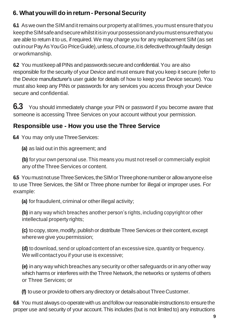# **6. What youwill do in return- PersonalSecurity**

**6.1** As we own the SIM and it remains our property at all times, you must ensure that you keeptheSIMsafeandsecurewhilstitisinyourpossessionandyoumustensurethatyou are able to return it to us, if required. We may charge you for any replacement SIM (as set outinourPayAsYouGo PriceGuide),unless,ofcourse,itis defectivethroughfaulty design orworkmanship.

**6.2** You must keep all PINs and passwords secure and confidential. You are also responsible for the security of your Device and must ensure that you keep it secure (refer to the Device manufacturer's user guide for details of how to keep your Device secure). You must also keep any PINs or passwords for any services you access through your Device secure and confidential.

**6.3** You should immediately change your PIN or password if you become aware that someone is accessing Three Services on your account without your permission.

# **Responsible use - How you use the Three Service**

**6.4** You may only use Three Services:

**(a)** as laid out in this agreement; and

**(b)** for your own personal use. This means you must not resell or commercially exploit any ofthe Three Services or content.

**6.5** You must not use Three Services, the SIM or Three phone number or allow anyone else to use Three Services, the SIM or Three phone number for illegal or improper uses. For example:

**(a)** for fraudulent, criminal or otherillegal activity;

**(b)** in any way which breaches another person's rights, including copyright or other intellectual property rights;

**(c)** to copy, store, modify, publish or distribute Three Services or their content, except wherewe give youpermission;

**(d)** to download, send or upload content of an excessive size, quantity or frequency. We will contact you if your use is excessive:

**(e)** inany way whichbreaches any security or other safeguards orin anyother way which harms or interferes with the Three Network, the networks or systems of others or Three Services; or

**(f)** to use or provide to others any directory or details about Three Customer.

**6.6** You must always co-operate with us and follow our reasonable instructions to ensure the proper use and security of your account.This includes (but is not limited to) any instructions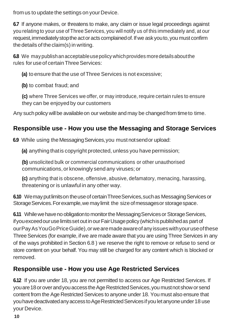from us to update the settings on your Device.

**6.7** If anyone makes, or threatens to make, any claim or issue legal proceedings against you relating to your use of ThreeServices, you will notify us of this immediately and, at our request, immediately stop the act or acts complained of. If we ask you to, you must confirm the details of the claim(s) in writing.

**6.8** We may publish an acceptable use policy which provides more details about the rules for useof certainThreeServices:

**(a)** to ensure that the use of Three Services is not excessive;

**(b)** to combat fraud; and

**(c)** where Three Services we offer, or may introduce, require certain rules to ensure they can be enjoyed by our customers

Any such policy will be available on our website and may be changed from time to time.

# **Responsible use - How you use the Messaging and Storage Services**

**6.9** While using the Messaging Services, you must not send or upload:

**(a)** anything thatis copyright protected, unless you have permission;

**(b)** unsolicited bulk or commercial communications or other unauthorised communications,or knowingly send any viruses; or

**(c)** anything that is obscene, offensive, abusive, defamatory, menacing, harassing, threatening or is unlawful in any other way.

**6.10** Wemay put limits on the use of certain Three Services, such as Messaging Services or Storage Services. For example, we may limit the size of messages or storage space.

**6.11** While we have no obligation to monitor the Messaging Services or Storage Services, ifyouexceedouruselimitssetoutinourFairUsagepolicy (whichispublishedas partof ourPayAsYouGoPriceGuide),orwearemadeawareofanyissueswithyouruseofthese Three Services (for example, if we are made aware that you are using Three Services in any of the ways prohibited in Section 6.8 ) we reserve the right to remove or refuse to send or store content on your behalf. You may still be charged for any content which is blocked or removed.

# **Responsible use - How you use Age Restricted Services**

**6.12** If you are under 18, you are not permitted to access our Age Restricted Services. If you are 18 or over and you access the Age Restricted Services, you must not show or send content from the Age Restricted Services to anyone under 18. You must also ensure that you have deactivated any access to Age Restricted Services if you let anyone under 18 use your Device.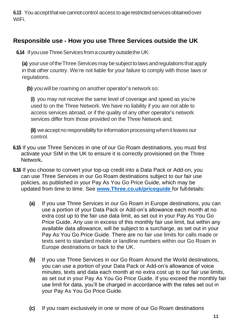**6.13** You accept that we cannot control access to age restricted services obtained over WiFi.

### **Responsible use - How you use Three Services outside the UK**

**6.14** If you use Three Services from a country outside the UK:

**(a)** your use of the Three Services may be subject to laws and regulations that apply in that other country. We're not liable for your failure to comply with those laws or regulations.

**(b)** you will be roaming on another operator's network so:

**(i)** you may not receive the same level of coverage and speed as you're used to on the Three Network. We have no liability if you are not able to access services abroad, or if the quality of any other operator's network services differ from those provided on the Three Network and;

**(ii)** we accept no responsibility for information processing when it leaves our control.

- **6.15** If you use Three Services in one of our Go Roam destinations, you must first activate your SIM in the UK to ensure it is correctly provisioned on the Three Network**.**
- **6.16** If you choose to convert your top-up credit into a Data Pack or Add-on, you can use Three Services in our Go Roam destinations subject to our fair use policies, as published in your Pay As You Go Price Guide, which may be updated from time to time. See **[www.Three.co.uk/priceguide](http://www.three.co.uk/priceguide)** for fulldetails:
	- **(a)** If you use Three Services in our Go Roam in Europe destinations, you can use a portion of your Data Pack or Add-on's allowance each month at no extra cost up to the fair use data limit, as set out in your Pay As You Go Price Guide. Any use in excess of this monthly fair use limit, but within any available data allowance, will be subject to a surcharge, as set out in your Pay As You Go Price Guide. There are no fair use limits for calls made or texts sent to standard mobile or landline numbers within our Go Roam in Europe destinations or back to the UK.
	- **(b)** If you use Three Services in our Go Roam Around the World destinations, you can use a portion of your Data Pack or Add-on's allowance of voice minutes, texts and data each month at no extra cost up to our fair use limits, as set out in your Pay As You Go Price Guide. If you exceed the monthly fair use limit for data, you'll be charged in accordance with the rates set out in your Pay As You Go Price Guide.
	- **(c)** If you roam exclusively in one or more of our Go Roam destinations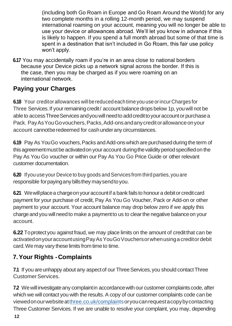(including both Go Roam in Europe and Go Roam Around the World) for any two complete months in a rolling 12-month period, we may suspend international roaming on your account, meaning you will no longer be able to use your device or allowances abroad. We'll let you know in advance if this is likely to happen. If you spend a full month abroad but some of that time is spent in a destination that isn't included in Go Roam, this fair use policy won't apply.

**6.17** You may accidentally roam if you're in an area close to national borders because your Device picks up a network signal across the border. If this is the case, then you may be charged as if you were roaming on an international network.

# **Paying your Charges**

**6.18** Your creditor allowances will be reduced each time you use or incur Charges for Three Services. If your remaining credit/ account balance drops below 1p, you will not be able to access Three Services and you will need to add credit to your account or purchase a Pack. Pay As You Go vouchers, Packs, Add-ons and any credit or allowance on your account cannotbe redeemed for cash under any circumstances.

**6.19** Pay As You Go vouchers, Packs and Add-ons which are purchased during the term of this agreement must be activated on your account during the validity period specified on the Pay As You Go voucher or within our Pay As You Go Price Guide or other relevant customer documentation.

**6.20** If you use your Device to buy goods and Services from third parties, you are responsible for paying any bills they may send to you.

**6.21** We will place a charge on your account if a bank fails to honour a debit or credit card payment for your purchase of credit, Pay As You Go Voucher, Pack or Add-on or other payment to your account. Your account balance may drop below zero if we apply this chargeandyou will needto make a paymentto us to clearthe negative balanceon your account.

**6.22** To protect you against fraud, we may place limits on the amount of credit that can be activatedonyouraccountusingPayAsYouGoVouchersorwhenusinga creditordebit card. We may vary these limits from time to time.

# **7.Your Rights -Complaints**

**7.1** If you are unhappy about any aspect of our Three Services, you should contact Three CustomerServices.

**12 7.2** We will investigate any complaint in accordance with our customer complaints code, after which we will contact you with the results. A copy of our customer complaints code can be viewedonourwebsiteatthree.co.uk/complaintsoryoucanrequestacopybycontacting Three Customer Services. If we are unable to resolve your complaint, you may, depending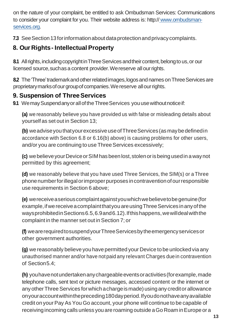on the nature of your complaint, be entitled to ask Ombudsman Services: Communications to consider your complaint for you. Their website address is: http:// [www.ombudsman](http://www.ombudsman-services.org/)[services.org.](http://www.ombudsman-services.org/)

**7.3** See Section 13 for information about data protection and privacy complaints.

# **8. Our Rights- Intellectual Property**

**8.1** All rights, including copyright in Three Services and their content, belong to us, or our licensed source, such as a content provider. We reserve all our rights.

**8.2** The 'Three' trademark and other related images, logos and names on Three Services are proprietary marks of our group of companies. We reserve all our rights.

# **9. Suspension of ThreeServices**

9.1 Wemay Suspendany or all of the Three Services you use without notice if:

**(a)** we reasonably believe you have provided us with false or misleading details about yourself as set out in Section 13;

**(b)** weadviseyouthatyourexcessiveuseofThreeServices(as maybedefinedin accordance with Section 6.8 or 6.16(b) above) is causing problems for other users, and/or you are continuing to use Three Services excessively:

**(c)** webelieveyourDeviceorSIMhasbeenlost,stolenorisbeing usedin awaynot permitted by this agreement;

**(d)** we reasonably believe that you have used Three Services, the SIM(s) or a Three phonenumberforillegalorimproperpurposes incontraventionofourresponsible use requirements in Section 6 above;

**(e)** wereceiveaseriouscomplaintagainstyouwhichwebelievetobegenuine(for example,ifwereceiveacomplaintthatyouareusingThreeServices inanyofthe waysprohibitedin Sections 6.5, 6.9 and 6.12). If this happens, we will deal with the complaint in the manner set outin Section 7; or

**(f)** wearerequiredtosuspendyourThreeServicesbytheemergencyservicesor other government authorities.

**(g)** we reasonably believe you have permitted your Device to be unlockedvia any unauthorised manner and/or have not paid any relevant Charges duein contravention of Section5.4;

**(h)** youhavenotundertakenanychargeableeventsoractivities(forexample,made telephone calls, sent text or picture messages, accessed content or the internet or any other Three Services for which a charge is made) using any credit or allowance onyouraccountwithinthepreceding180dayperiod.Ifyoudonothaveanyavailable credit on your Pay As You Go account, your phone will continue to be capable of receiving incoming calls unless you are roaming outside a Go Roam in Europe or a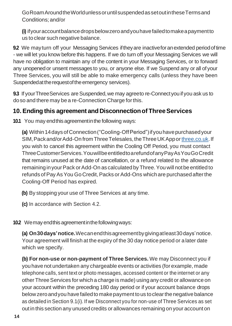GoRoamAroundtheWorldunlessoruntilsuspendedassetoutintheseTermsand Conditions; and/or

**(i)** ifyouraccountbalancedropsbelowzeroandyouhavefailedtomakeapaymentto us toclear such negative balance.

**9.2** We may turn off your Messaging Services if they are inactive for an extended period of time - we will let you know before this happens. If we do turn off your Messaging Services we will have no obligation to maintain any of the content in your Messaging Services, or to forward any unopenedor unsent messages to you, or anyone else. If we Suspend any or all of your Three Services, you will still be able to make emergency calls (unless they have been Suspended at the request of the emergency services).

**9.3** If your Three Services are Suspended, we may agreeto re-Connect you if you ask us to doso and there may be a re-Connection Charge forthis.

### **10. Ending this agreement and Disconnectionof ThreeServices**

**10.1** You may end this agreement in the following ways:

**(a)** Within14daysofConnection("Cooling-OffPeriod")ifyouhavepurchasedyour SIM,Packand/orAdd-On fromThreeTelesales,theThreeUKApporthree.co.uk.If you wish to cancel this agreement within the Cooling Off Period, you must contact ThreeCustomerServices.YouwillbeentitledtoarefundofanyPayAsYouGoCredit that remains unused at the date of cancellation, or a refund related to the allowance remaininginyourPack orAdd-On as calculated by Three.You will notbe entitled to refunds of Pay As You Go Credit, Packs or Add-Ons which are purchased after the Cooling-Off Period has expired.

- **(b)** By stopping your use of Three Services at any time.
- **(c)** In accordance with Section 4.2.
- **10.2** We may end this agreement in the following ways:

**(a) On30days'notice.**Wecanendthisagreementbygivingatleast30days'notice. Your agreement will finish at the expiry of the 30 day notice period or a later date which we specify.

**(b) For non-use or non-payment of Three Services.** We may Disconnect you if youhave not undertaken any chargeable events or activities (for example, made telephone calls, sent text or photo messages, accessed content or the internet or any other ThreeServices for which a charge is made) using any credit or allowance on your account within the preceding 180 day period or if your account balance drops belowzeroandyou havefailedto makepayment tous toclearthenegativebalance as detailed in Section 9.1(i). If we Disconnect you for non-use of Three Services as set out in this section any unusedcredits or allowances remaining on your accounton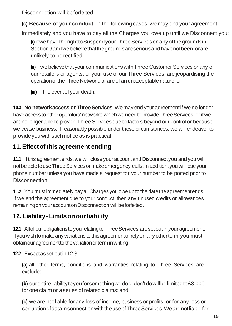Disconnection will beforfeited.

**(c) Because of your conduct.** In the following cases, we may end your agreement immediately and you have to pay all the Charges you owe up until we Disconnect you:

**(i)** ifwehavetherighttoSuspendyourThreeServicesonanyofthegroundsin Section9andwebelievethatthegroundsareseriousandhavenotbeen,orare unlikely to be rectified;

**(ii)** ifwe believethat your communicationswithThree Customer Services or any of our retailers or agents, or your use of our Three Services, are jeopardising the operationoftheThreeNetwork, or areof an unacceptable nature; or

**(iii)** inthe eventof your death.

**10.3** No network access or Three Services. We may end your agreement if we no longer have access to other operators' networks which we need to provide Three Services, or if we are no longer able to provide Three Services due to factors beyond our control or because we cease business. If reasonably possible under these circumstances, we will endeavor to provide you with such notice as is practical.

# **11.Effectofthis agreement ending**

**11.1** If this agreement ends, we will close your account and Disconnect you and you will not be able to use Three Services or make emergency calls. In addition, you will lose your phone number unless you have made a request for your number to be ported prior to **Disconnection** 

**11.2** You mustimmediately pay all Charges you oweup to the date the agreementends. If we end the agreement due to your conduct, then any unused credits or allowances remaining on your account on Disconnection will be forfeited.

# **12. Liability- Limitsonourliability**

**12.1** Allof our obligations to you relating to Three Services are set out in your agreement. Ifyouwishtomakeanyvariationstothisagreementorrelyon anyotherterm,you must obtainour agreementto thevariationorterminwriting.

**12.2** Exceptas set out in 12.3:

**(a)** all other terms, conditions and warranties relating to Three Services are excluded;

**(b)** ourentireliabilitytoyouforsomethingwedoordon'tdowillbelimitedto£3,000 for one claim or a series of related claims; and

**(c)** we are not liable for any loss of income, business or profits, or for any loss or corruptionofdatainconnectionwiththeuseofThreeServices.Wearenotliablefor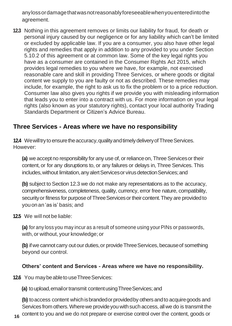anylossordamagethatwasnotreasonablyforeseeablewhenyouenteredintothe agreement.

**12.3** Nothing in this agreement removes or limits our liability for fraud, for death or personal injury caused by our negligence or for any liability which can't be limited or excluded by applicable law. If you are a consumer, you also have other legal rights and remedies that apply in addition to any provided to you under Section 5.10.2 of this agreement or at common law. Some of the key legal rights you have as a consumer are contained in the Consumer Rights Act 2015, which provides legal remedies to you where we have, for example, not exercised reasonable care and skill in providing Three Services, or where goods or digital content we supply to you are faulty or not as described. These remedies may include, for example, the right to ask us to fix the problem or to a price reduction. Consumer law also gives you rights if we provide you with misleading information that leads you to enter into a contract with us. For more information on your legal rights (also known as your statutory rights), contact your local authority Trading Standards Department or Citizen's Advice Bureau.

### **Three Services - Areas where we have no responsibility**

**12.4** We will try to ensure the accuracy, quality and timely delivery of Three Services. However:

(a) we accept no responsibility for any use of, or reliance on, Three Services or their content, or for any disruptions to, or any failures or delays in, Three Services. This includes, without limitation, any alert Services or virus detection Services; and

**(b)** subject to Section 12.3 we do not make any representations as to the accuracy, comprehensiveness, completeness, quality, currency, error free nature, compatibility, security or fitness for purpose of Three Services or their content. They are provided to youonan 'as is' basis; and

**12.5** We will not be liable:

**(a)** for any loss you may incur as a result of someone using your PINs or passwords, with, or without, your knowledge; or

(b) if we cannot carry out our duties, or provide Three Services, because of something beyond our control.

### **Others' content and Services - Areas where we have no responsibility.**

**12.6** You may be able to use Three Services:

**(a)** to upload, email or transmit content using Three Services; and

**(b)** to access content which is branded or provided by others and to acquire goods and Services from others. Where we provide you with such access, all we do is transmit the

**16** content to you and we do not prepare or exercise control over the content, goods or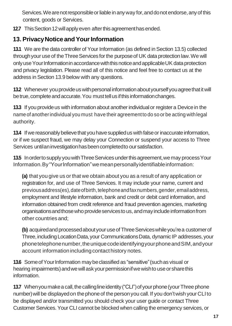Services. We are not responsible or liable in any way for, and do not endorse, any of this content, goods or Services.

12.7 This Section 12 will apply even after this agreement has ended.

# **13. PrivacyNotice andYourInformation**

**13.1** We are the data controller of Your Information (as defined in Section 13.5) collected through your use of the Three Services for the purpose of UK data protection law. We will only use Your Information in accordance with this notice and applicable UK data protection and privacy legislation. Please read all of this notice and feel free to contact us at the address in Section 13.9 below with any questions.

**13.2** Whenever you provide us with personal information about yourself you agree that it will be true, complete and accurate. You must tell us if this information changes.

**13.3** If you provide us with information about another individual or register a Device in the name of anotherindividual you must have their agreementto do so or be acting withlegal authority.

**13.4** If we reasonably believe that you have supplied us with false or inaccurate information, or if we suspect fraud, we may delay your Connection or suspend your access to Three Services untilan investigation has been completed to our satisfaction.

**13.5** In orderto supply you with Three Services under this agreement, we may process Your Information.By"YourInformation"wemeanpersonallyidentifiableinformation:

**(a)** that you give us or that we obtain about you as a result of any application or registration for, and use of Three Services. It may include your name, current and previousaddress(es),dateofbirth,telephoneandfaxnumbers,gender,emailaddress, employment and lifestyle information, bank and credit or debit card information, and information obtained from credit reference and fraud prevention agencies, marketing organisationsandthosewhoprovideservicestous,andmayincludeinformationfrom other countries and;

**(b)** acquiredand processed about your use of Three Services while you're a customer of Three,includingLocationData,your CommunicationsData, dynamic IP addresses,your phonetelephonenumber,theuniquecodeidentifyingyourphoneandSIM,andyour account information including contact history notes.

**13.6** Some of Your Information may be classified as "sensitive" (such as visual or hearing impairments) and we will ask your permission if we wish to use or share this information.

**13.7** When you make a call, the calling line identity ("CLI") of your phone (your Three phone number) will be displayed on the phone of the person you call. If you don't wish your CLI to be displayed and/or transmitted you should check your user guide or contact Three Customer Services.Your CLI cannot be blocked when calling the emergency services, or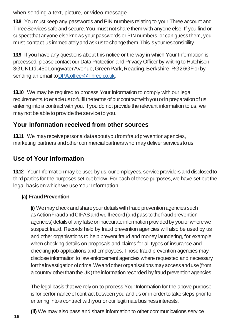when sending a text, picture, or video message.

**13.8** Youmust keep any passwords and PIN numbers relating to your Three account and ThreeServices safe and secure.You must not share them with anyone else. If you find or suspectthat anyone else knows your passwords or PIN numbers, or can guess them, you must contact us immediatelyandaskustochangethem.Thisisyourresponsibility.

**13.9** If you have any questions about this notice or the way in which Your Information is processed, please contact our Data Protection and Privacy Officer by writing to Hutchison 3GUKLtd,450LongwaterAvenue,GreenPark,Reading,Berkshire,RG26GForby sending an email to DPA officer@Three.co.uk.

**13.10** We may be required to process Your Information to comply with our legal requirements, to enable us to fulfil the terms of our contract with you or in preparation of us entering into a contract with you. If you do not provide the relevant information to us, we may not be able to provide the service to you.

# **Your Information received from other sources**

**13.11** We mayreceivepersonaldataaboutyoufromfraudpreventionagencies, marketing partners and other commercial partners who may deliver services to us.

# **Use of Your Information**

**13.12** Your Information may be used by us, our employees, service providers and disclosed to third parties for the purposes set out below. For each of these purposes,we have set out the legal basis on which we use Your Information.

### **(a) FraudPrevention**

**(i)** We may check and share your details with fraud prevention agencies such asActionFraudand CIFASand we'llrecord (andpass to thefraud prevention agencies) details of any false or inaccurate information provided by you or where we suspect fraud. Records held by fraud prevention agencies will also be used by us and other organisations to help prevent fraud and money laundering, for example when checking details on proposals and claims for all types of insurance and checking job applications and employees. Those fraud prevention agencies may disclose information to law enforcement agencies where requested and necessary fortheinvestigationofcrime.Weandother organisations may accessanduse(from a country other than the UK) the information recorded by fraud prevention agencies.

The legal basis that we rely on to process YourInformation for the above purpose is for performance of contract between you and us or in order to take steps prior to entering into a contract with you or our legitimate business interests.

**(ii)** We may also pass and share information to other communications service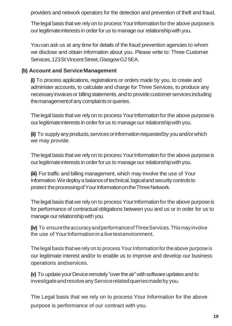providers and network operators for the detection and prevention of theft and fraud.

The legal basis that we rely on to process Your Information for the above purpose is our legitimate interests in order for us to manage our relationship with you.

Youcan ask us at any time for details of the fraud prevention agencies to whom we disclose and obtain information about you. Please write to: Three Customer Services, 123St Vincent Street, Glasgow G25EA.

### **(b) Account and Service Management**

**(i)** To process applications, registrations or orders made by you, to create and administer accounts, to calculate and charge for Three Services, to produce any necessary invoices or billing statements, and to provide customer services including the management of any complaints or queries.

The legal basis that we rely on to process Your Information for the above purpose is our legitimate interests in order for us to manage our relationship with you.

**(ii)** To supply any products, services or information requested by you and/or which we may provide.

The legal basis that we rely on to process Your Information for the above purpose is our legitimate interests in order for us to manage our relationship with you.

**(iii)** For traffic and billing management, which may involve the use of Your Information. We deploy a balance of technical, logical and security controls to protect the processing of Your Information on the Three Network.

The legal basis that we rely on to process Your Information for the above purpose is for performance of contractual obligations between you and us or in order for us to manage our relationship with you.

**(iv)** To ensuretheaccuracyandperformanceofThreeServices.Thismay involve the use of YourInformationin a livetestenvironment.

The legal basis that we rely on to process Your Information for the above purpose is our legitimate interest and/or to enable us to improve and develop our business operations andservices.

**(v)** To update your Device remotely "over the air" with software updates and to investigate and resolve any Service related queries made by you.

The Legal basis that we rely on to process Your Information for the above purpose is performance of our contract with you.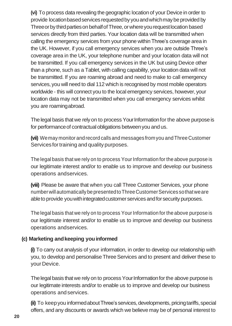**(vi)** To process data revealing the geographic location of your Device in order to provide location based services requested by you and which may be provided by Three or by third parties on behalf of Three, or where you request location based services directly from third parties. Your location data will be transmitted when calling the emergency services from your phone withinThree's coverage area in the UK. However, if you call emergency services when you are outside Three's coverage area in the UK, your telephone number and your location data will not be transmitted. If you call emergency services in the UK but using Device other than a phone, such as a Tablet, with calling capability, your location data will not be transmitted. If you are roaming abroad and need to make to call emergency services, you will need to dial 112 which is recognised by most mobile operators worldwide - this will connect you to the local emergency services, however, your location data may not be transmitted when you call emergency services whilst you are roamingabroad.

The legal basis that we rely on to process Your Information for the above purpose is for performance of contractual obligations between you and us.

**(vii)** Wemay monitor andrecord callsand messages fromyou andThreeCustomer Services for training and quality purposes.

The legal basis that we rely on to process Your Information for the above purpose is our legitimate interest and/or to enable us to improve and develop our business operations andservices.

**(viii)** Please be aware that when you call Three Customer Services, your phone numberwillautomatically bepresentedtoThreeCustomerServices sothatweare able to provide you with integrated customer services and for security purposes.

The legal basis that we rely on to process Your Information for the above purpose is our legitimate interest and/or to enable us to improve and develop our business operations andservices.

### **(c) Marketing andkeeping youinformed**

**(i)** To carry out analysis of your information, in order to develop our relationship with you, to develop and personalise Three Services and to present and deliver these to your Device.

The legal basis that we rely on to process Your Information for the above purpose is our legitimate interests and/or to enable us to improve and develop our business operations andservices.

**(ii)** To keep you informedabout Three's services, developments, pricing tariffs, special offers, and any discounts or awards which we believe may be of personal interest to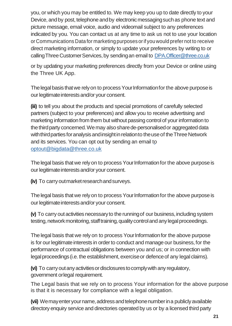you, or which you may be entitled to. We may keep you up to date directly to your Device, and by post, telephone and by electronic messaging such as phone text and picture message, email voice, audio and videomail subject to any preferences indicated by you. You can contact us at any time to ask us not to use your location or Communications Data for marketing purposes orif youwould prefer not to receive direct marketing information, or simply to update your preferences by writing to or calling Three Customer Services, by sending an email to DPA. Officer@three.co.uk

or by updating your marketing preferences directly from your Device or online using the Three UK App.

The legal basis that we rely on to process Your Information for the above purpose is our legitimate interests and/or your consent.

**(iii)** to tell you about the products and special promotions of carefully selected partners (subject to your preferences) and allow you to receive advertising and marketing information from them but without passing control of your information to the third party concerned. We may also share de-personalised or aggregated data with third parties for analysis and insight in relation to the use of the Three Network and its services. You can opt out by sending an email to [optout@bigdata@three.co.uk](mailto:optout@bigdata@three.co.uk)

The legal basis that we rely on to process Your Information for the above purpose is our legitimate interests and/or your consent.

**(iv)** To carry outmarket research and surveys.

The legal basis that we rely on to process Your Information for the above purpose is our legitimate interests and/or your consent.

**(v)** To carry out activities necessary to the running of our business, including system testing, network monitoring, staff training, quality control and any legal proceedings.

The legal basis that we rely on to process Your Information for the above purpose is for our legitimate interests in order to conduct and manage our business, for the performance of contractual obligations between you and us; or in connection with legal proceedings (i.e. the establishment, exercise or defence of any legal claims).

**(vi)** To carryoutanyactivitiesordisclosurestocomplywith any regulatory, government orlegal requirement.

The Legal basis that we rely on to process Your information for the above purpose is that it is necessary for compliance with a legal obligation.

(vii) Wemay enter your name, address and telephone number in a publicly available directory enquiry service and directories operated by us or by a licensed third party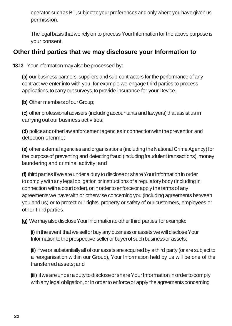operator suchas BT,subjectto your preferences and only where you have given us permission.

The legal basis that we rely on to process Your Information for the above purpose is your consent.

### **Other third parties that we may disclosure your Information to**

**13.13** Your Information may also be processed by:

**(a)** our business partners, suppliers and sub-contractors for the performance of any contract we enter into with you, for example we engage third parties to process applications, to carry out surveys, to provide insurance for your Device.

**(b)** Other members of our Group:

**(c)** other professional advisers (including accountants and lawyers) that assist us in carryingoutour business activities;

**(d)** policeandotherlawenforcementagenciesinconnectionwiththepreventionand detection ofcrime;

**(e)** other external agencies and organisations (including the National Crime Agency)for the purpose of preventing and detecting fraud (including fraudulent transactions), money laundering and criminal activity; and

**(f)** third parties if we are under a duty to disclose or share Your Information in order to comply with any legal obligation or instructions of a regulatory body (including in connection with a court order), or in order to enforce or apply the terms of any agreements we have with or otherwise concerning you (including agreements between you and us) or to protect our rights, property or safety of our customers, employees or other thirdparties.

**(g)** We may also disclose Your Information to other third parties, for example:

**(i)** in the event that we sell or buy any business or assets we will disclose Your Information to the prospective seller or buyer of such business or assets;

**(ii)** ifweor substantiallyall of our assetsareacquiredby a third party (oraresubject to a reorganisation within our Group), Your Information held by us will be one of the transferred assets;and

**(iii)** ifweareunderadutytodiscloseorshareYourInformationinordertocomply with any legal obligation, or in order to enforce or apply the agreements concerning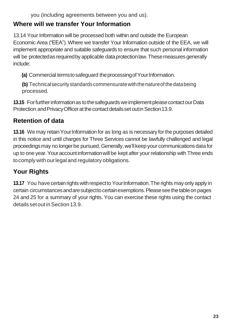you (including agreements between you and us).

### **Where will we transfer Your Information**

13.14 Your Information will be processed both within and outside the European Economic Area ("EEA"). Where we transfer Your Information outside of the EEA, we will implement appropriate and suitable safeguards to ensure that such personal information will be protected as required by applicable data protection law. These measures generally include:

**(a)** Commercial termstosafeguard theprocessingofYourInformation.

**(b)** Technicalsecurity standards commensuratewiththenatureof thedatabeing processed.

**13.15** For further information as to the safeguards we implement please contact our Data Protection and Privacy Officer at the contact details set out in Section 13.9.

# **Retention of data**

**13.16** We may retain Your Information for as long as is necessary for the purposes detailed in this notice and until charges for Three Services cannot be lawfully challenged and legal proceedings may no longer be pursued. Generally, we'll keep your communications data for up to one year.Youraccountinformationwill be kept after your relationship with Three ends tocomply with ourlegal and regulatory obligations.

# **Your Rights**

**13.17** You have certain rights with respect to Your Information. The rights may only apply in certain circumstancesandaresubjecttocertainexemptions.Pleaseseethetableon pages 24 and 25 for a summary of your rights. You can exercise these rights using the contact details set out in Section 13.9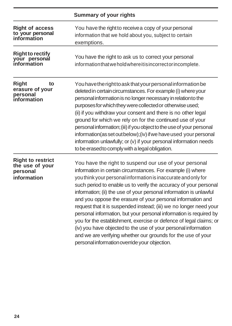|                                                                        | Summary of your rights                                                                                                                                                                                                                                                                                                                                                                                                                                                                                                                                                                                                                                                                                                                                                                                |
|------------------------------------------------------------------------|-------------------------------------------------------------------------------------------------------------------------------------------------------------------------------------------------------------------------------------------------------------------------------------------------------------------------------------------------------------------------------------------------------------------------------------------------------------------------------------------------------------------------------------------------------------------------------------------------------------------------------------------------------------------------------------------------------------------------------------------------------------------------------------------------------|
| <b>Right of access</b><br>to your personal<br>information              | You have the right to receive a copy of your personal<br>information that we hold about you, subject to certain<br>exemptions.                                                                                                                                                                                                                                                                                                                                                                                                                                                                                                                                                                                                                                                                        |
| <b>Right to rectify</b><br>your personal<br>information                | You have the right to ask us to correct your personal<br>information that we hold where it is incorrect or incomplete.                                                                                                                                                                                                                                                                                                                                                                                                                                                                                                                                                                                                                                                                                |
| Right<br>to<br>erasure of your<br>personal<br>information              | You have the right to ask that your personal information be<br>deleted in certain circumstances. For example (i) where your<br>personal information is no longer necessary in relation to the<br>purposes for which they were collected or otherwise used;<br>(ii) if you withdraw your consent and there is no other legal<br>ground for which we rely on for the continued use of your<br>personal information; (iii) if you object to the use of your personal<br>information(as set out below);(iv) if we have used your personal<br>information unlawfully; or (v) if your personal information needs<br>to be erased to comply with a legal obligation.                                                                                                                                         |
| <b>Right to restrict</b><br>the use of your<br>personal<br>information | You have the right to suspend our use of your personal<br>information in certain circumstances. For example (i) where<br>you think your personal information is inaccurate and only for<br>such period to enable us to verify the accuracy of your personal<br>information; (ii) the use of your personal information is unlawful<br>and you oppose the erasure of your personal information and<br>request that it is suspended instead; (iii) we no longer need your<br>personal information, but your personal information is required by<br>you for the establishment, exercise or defence of legal claims; or<br>(iv) you have objected to the use of your personal information<br>and we are verifying whether our grounds for the use of your<br>personal information override your objection. |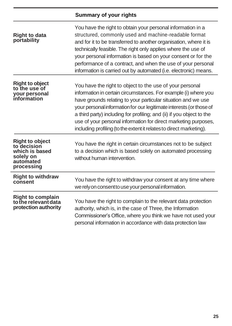|                                                                                                 | <b>Summary of your rights</b>                                                                                                                                                                                                                                                                                                                                                                                                                                                          |
|-------------------------------------------------------------------------------------------------|----------------------------------------------------------------------------------------------------------------------------------------------------------------------------------------------------------------------------------------------------------------------------------------------------------------------------------------------------------------------------------------------------------------------------------------------------------------------------------------|
| <b>Right to data</b><br>portability                                                             | You have the right to obtain your personal information in a<br>structured, commonly used and machine-readable format<br>and for it to be transferred to another organisation, where it is<br>technically feasible. The right only applies where the use of<br>your personal information is based on your consent or for the<br>performance of a contract, and when the use of your personal<br>information is carried out by automated (i.e. electronic) means.                        |
| <b>Right to object</b><br>to the use of<br>your personal<br>information                         | You have the right to object to the use of your personal<br>information in certain circumstances. For example (i) where you<br>have grounds relating to your particular situation and we use<br>your personal information for our legitimate interests (or those of<br>a third party) including for profiling; and (ii) if you object to the<br>use of your personal information for direct marketing purposes,<br>including profiling (to the extent it relates to direct marketing). |
| <b>Right to object</b><br>to decision<br>which is based<br>solely on<br>automated<br>processing | You have the right in certain circumstances not to be subject<br>to a decision which is based solely on automated processing<br>without human intervention.                                                                                                                                                                                                                                                                                                                            |
| <b>Right to withdraw</b><br>consent                                                             | You have the right to withdraw your consent at any time where<br>we rely on consent to use your personal information.                                                                                                                                                                                                                                                                                                                                                                  |
| <b>Right to complain</b><br>to the relevant data<br>protection authority                        | You have the right to complain to the relevant data protection<br>authority, which is, in the case of Three, the Information<br>Commissioner's Office, where you think we have not used your<br>personal information in accordance with data protection law                                                                                                                                                                                                                            |

J.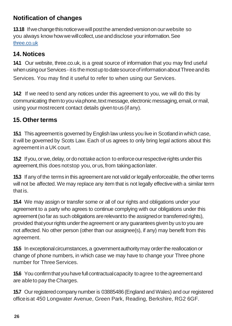# **Notification of changes**

**13.18** If we change this notice we will post the amended version on our website so you always know how we will collect, use and disclose your information. See three.co.uk

### **14. Notices**

**14.1** Our website, three.co.uk, is a great source of information that you may find useful when using our Services - it is the most up to date source of information about Three and its Services. You may find it useful to refer to when using our Services.

**14.2** If we need to send any notices under this agreement to you, we will do this by communicating them to you via phone, text message, electronic messaging, email, or mail, using yourmostrecent contact details giventous (ifany).

# **15. Other terms**

**15.1** This agreement is governed by English law unless you live in Scotland in which case, it will be governed by Scots Law. Each of us agrees to only bring legal actions about this agreement in a UK court.

**15.2** If you, or we, delay, or do not take action to enforce our respective rights under this agreement,this does notstop you,orus,from takingactionlater.

**15.3** If any of the terms in this agreement are not valid or legally enforceable, the other terms will not be affected. We may replace any item that is not legally effective with a similar term that is.

**15.4** We may assign or transfer some or all of our rights and obligations under your agreement to a party who agrees to continue complying with our obligations under this agreement(sofar as such obligations arerelevantto the assignedor transferred rights), provided that your rights under the agreement or any quarantees given by us to you are not affected. No other person (other than our assignee(s), if any) may benefit from this agreement.

**15.5** In exceptional circumstances, a government authority may order the reallocation or change of phone numbers, in which case we may have to change your Three phone number for ThreeServices.

**15.6** You confirm that you have full contractual capacity to agree to the agreement and are ableto pay the Charges.

**15.7** Our registered company number is 03885486 (England and Wales) and our registered officeisat 450 Longwater Avenue, Green Park, Reading, Berkshire, RG2 6GF.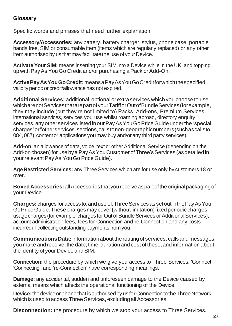### **Glossary**

Specific words and phrases that need further explanation.

**Accessory/Accessories:** any battery, battery charger, stylus, phone case, portable hands free, SIM or consumable item (items which are regularly replaced) or any other item authorised by us that may facilitate the use of your Device.

**Activate Your SIM:** means inserting your SIM into a Device while in the UK, and topping up with PayAs YouGo Credit and/or purchasing a Pack or Add-On.

**ActivePayAsYouGoCredit:**meansaPayAsYouGoCreditforwhichthespecified validityperiodor credit/allowance has not expired.

**Additional Services:** additional,optional or extra services which you choose to use whicharenotServicesthatarepartofyourTarifforOutofBundleServices(forexample, they may include (but they're not limited to) Packs, Add-ons, Premium Services, international services, services you use whilst roaming abroad, directory enquiry services, any other services listed in our Pay As You Go Price Guide under the "special charges"or"otherservices"sections,callstonon-geographicnumbers(suchascallsto 084, 087), content or applications you may buy and/or any third party services).

**Add-on:** an allowance of data, voice, text or other Additional Service (depending on the Add-on chosen) for use by a Pay As You Customer of Three's Services (as detailed in yourrelevant PayAs YouGo Price Guide).

**Age Restricted Services:** any Three Services which are for use only by customers 18 or over.

**BoxedAccessories:**allAccessoriesthatyoureceiveaspartoftheoriginalpackagingof your Device.

**Charges:**charges foraccess to,anduse of,ThreeServices as setout inthePayAsYou GoPrice Guide.Thesecharges may cover(withoutlimitation)fixed periodiccharges, usage charges (for example, charges for Out of Bundle Services or Additional Services), account administration fees, fees for Connection and re-Connection and any costs incurred in collecting outstanding payments from you.

**CommunicationsData:**informationabouttheroutingof services, callsand messages you make and receive, the date, time, duration and cost of these, and information about the identity of your Device and SIM.

**Connection:** the procedure by which we give you access to Three Services. 'Connect', 'Connecting', and 're-Connection' have corresponding meanings.

**Damage:** any accidental, sudden and unforeseen damage to the Device caused by external means which affects the operational functioning of the Device.

**Device:** the device or phone that is authorised by us for Connection to the Three Network which is used to access Three Services, excluding all Accessories.

**Disconnection:** the procedure by which we stop your access to Three Services.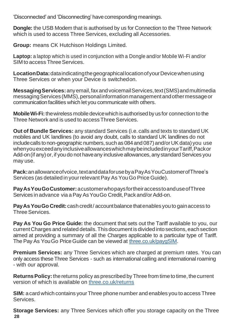'Disconnected' and 'Disconnecting' have corresponding meanings.

**Dongle:** the USB Modem that is authorised by us for Connection to the Three Network which is used to access Three Services, excluding all Accessories.

**Group:** means CK Hutchison Holdings Limited.

**Laptop:** a laptop which is used in conjunction with a Dongle and/or Mobile Wi-Fi and/or SIM to access Three Services.

**LocationData:**dataindicatingthegeographicallocationofyourDevicewhenusing Three Services or when your Device is switchedon.

**MessagingServices:**anyemail,faxandvoicemailServices,text(SMS)andmultimedia messaging Services (MMS), personal information management and other message or communication facilities which let you communicate with others.

**MobileWi-Fi:**thewireless mobiledevicewhichisauthorisedby us for connection to the Three Network and is used to accessThree Services.

**Out of Bundle Services:** any standard Services (i.e. calls and texts to standard UK mobiles and UK landlines (to avoid any doubt, calls to standard UK landlines do not include calls to non-geographic numbers, such as 084 and 087) and/or UK data) you use whenyouexceedanyinclusiveallowanceswhichmaybeincludedinyourTariff,Packor Add-on (if any) or, if you do not have any inclusive allowances, any standard Services you may use.

**Pack:**anallowanceofvoice,textanddataforusebyaPayAsYouCustomerofThree's Services (as detailed in your relevant Pay As You Go Price Guide).

**PayAsYouGoCustomer:**acustomerwhopaysfortheiraccesstoanduseofThree Services in advance via a Pay As YouGo Credit, Pack and/or Add-on.

**Pay As You Go Credit:** cash credit/ account balance that enables you to gain access to Three Services.

**Pay As You Go Price Guide:** the document that sets out the Tariff available to you, our currentCharges and related details.This document is dividedintosections,eachsection aimed at providing a summary of all the Charges applicable to a particular type of Tariff. The Pay As You Go Price Guide can be viewed at three.co.uk/paygSIM.

**Premium Services:** any Three Services which are charged at premium rates. You can only access theseThree Services - such as international calling and international roaming - with our approval.

**Returns Policy:** the returns policy as prescribed by Three from time to time, the current version of which is available on three.co.uk/returns

**SIM:** acard which contains yourThree phone number and enables you to access Three Services.

**28 Storage Services:** any Three Services which offer you storage capacity on the Three